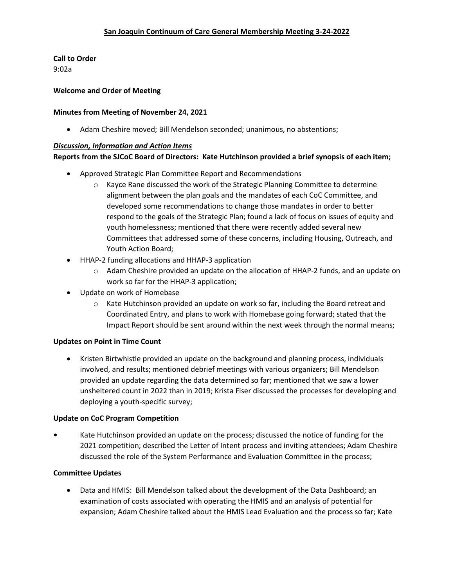**Call to Order** 9:02a

#### **Welcome and Order of Meeting**

#### **Minutes from Meeting of November 24, 2021**

• Adam Cheshire moved; Bill Mendelson seconded; unanimous, no abstentions;

#### *Discussion, Information and Action Items*

### **Reports from the SJCoC Board of Directors: Kate Hutchinson provided a brief synopsis of each item;**

- Approved Strategic Plan Committee Report and Recommendations
	- $\circ$  Kayce Rane discussed the work of the Strategic Planning Committee to determine alignment between the plan goals and the mandates of each CoC Committee, and developed some recommendations to change those mandates in order to better respond to the goals of the Strategic Plan; found a lack of focus on issues of equity and youth homelessness; mentioned that there were recently added several new Committees that addressed some of these concerns, including Housing, Outreach, and Youth Action Board;
- HHAP-2 funding allocations and HHAP-3 application
	- o Adam Cheshire provided an update on the allocation of HHAP-2 funds, and an update on work so far for the HHAP-3 application;
- Update on work of Homebase
	- $\circ$  Kate Hutchinson provided an update on work so far, including the Board retreat and Coordinated Entry, and plans to work with Homebase going forward; stated that the Impact Report should be sent around within the next week through the normal means;

#### **Updates on Point in Time Count**

• Kristen Birtwhistle provided an update on the background and planning process, individuals involved, and results; mentioned debrief meetings with various organizers; Bill Mendelson provided an update regarding the data determined so far; mentioned that we saw a lower unsheltered count in 2022 than in 2019; Krista Fiser discussed the processes for developing and deploying a youth-specific survey;

#### **Update on CoC Program Competition**

**•** Kate Hutchinson provided an update on the process; discussed the notice of funding for the 2021 competition; described the Letter of Intent process and inviting attendees; Adam Cheshire discussed the role of the System Performance and Evaluation Committee in the process;

#### **Committee Updates**

• Data and HMIS: Bill Mendelson talked about the development of the Data Dashboard; an examination of costs associated with operating the HMIS and an analysis of potential for expansion; Adam Cheshire talked about the HMIS Lead Evaluation and the process so far; Kate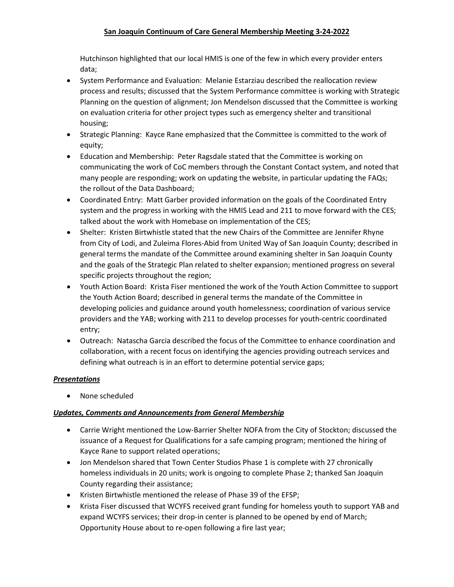## **San Joaquin Continuum of Care General Membership Meeting 3-24-2022**

Hutchinson highlighted that our local HMIS is one of the few in which every provider enters data;

- System Performance and Evaluation: Melanie Estarziau described the reallocation review process and results; discussed that the System Performance committee is working with Strategic Planning on the question of alignment; Jon Mendelson discussed that the Committee is working on evaluation criteria for other project types such as emergency shelter and transitional housing;
- Strategic Planning: Kayce Rane emphasized that the Committee is committed to the work of equity;
- Education and Membership: Peter Ragsdale stated that the Committee is working on communicating the work of CoC members through the Constant Contact system, and noted that many people are responding; work on updating the website, in particular updating the FAQs; the rollout of the Data Dashboard;
- Coordinated Entry: Matt Garber provided information on the goals of the Coordinated Entry system and the progress in working with the HMIS Lead and 211 to move forward with the CES; talked about the work with Homebase on implementation of the CES;
- Shelter: Kristen Birtwhistle stated that the new Chairs of the Committee are Jennifer Rhyne from City of Lodi, and Zuleima Flores-Abid from United Way of San Joaquin County; described in general terms the mandate of the Committee around examining shelter in San Joaquin County and the goals of the Strategic Plan related to shelter expansion; mentioned progress on several specific projects throughout the region;
- Youth Action Board: Krista Fiser mentioned the work of the Youth Action Committee to support the Youth Action Board; described in general terms the mandate of the Committee in developing policies and guidance around youth homelessness; coordination of various service providers and the YAB; working with 211 to develop processes for youth-centric coordinated entry;
- Outreach: Natascha Garcia described the focus of the Committee to enhance coordination and collaboration, with a recent focus on identifying the agencies providing outreach services and defining what outreach is in an effort to determine potential service gaps;

## *Presentations*

• None scheduled

## *Updates, Comments and Announcements from General Membership*

- Carrie Wright mentioned the Low-Barrier Shelter NOFA from the City of Stockton; discussed the issuance of a Request for Qualifications for a safe camping program; mentioned the hiring of Kayce Rane to support related operations;
- Jon Mendelson shared that Town Center Studios Phase 1 is complete with 27 chronically homeless individuals in 20 units; work is ongoing to complete Phase 2; thanked San Joaquin County regarding their assistance;
- Kristen Birtwhistle mentioned the release of Phase 39 of the EFSP;
- Krista Fiser discussed that WCYFS received grant funding for homeless youth to support YAB and expand WCYFS services; their drop-in center is planned to be opened by end of March; Opportunity House about to re-open following a fire last year;